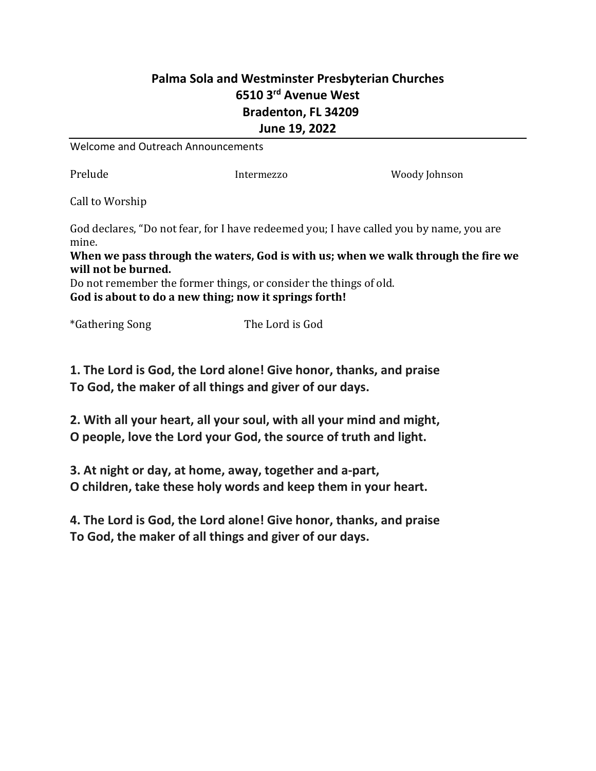## **Palma Sola and Westminster Presbyterian Churches 6510 3rd Avenue West Bradenton, FL 34209 June 19, 2022**

Welcome and Outreach Announcements

Prelude Intermezzo Moody Johnson

Call to Worship

God declares, "Do not fear, for I have redeemed you; I have called you by name, you are mine.

**When we pass through the waters, God is with us; when we walk through the fire we will not be burned.**

Do not remember the former things, or consider the things of old. **God is about to do a new thing; now it springs forth!**

\*Gathering Song The Lord is God

**1. The Lord is God, the Lord alone! Give honor, thanks, and praise To God, the maker of all things and giver of our days.**

**2. With all your heart, all your soul, with all your mind and might, O people, love the Lord your God, the source of truth and light.**

**3. At night or day, at home, away, together and a-part, O children, take these holy words and keep them in your heart.**

**4. The Lord is God, the Lord alone! Give honor, thanks, and praise To God, the maker of all things and giver of our days.**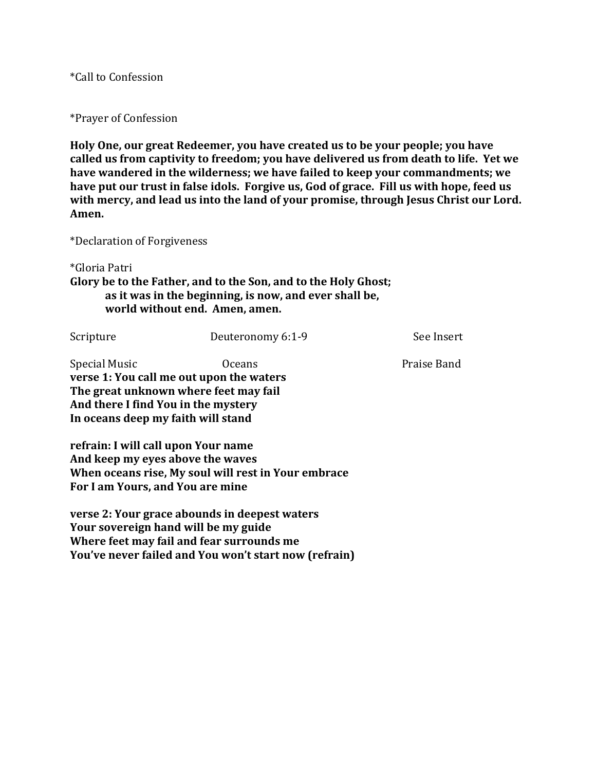\*Call to Confession

\*Prayer of Confession

**Holy One, our great Redeemer, you have created us to be your people; you have called us from captivity to freedom; you have delivered us from death to life. Yet we have wandered in the wilderness; we have failed to keep your commandments; we have put our trust in false idols. Forgive us, God of grace. Fill us with hope, feed us**  with mercy, and lead us into the land of your promise, through Jesus Christ our Lord. **Amen.**

\*Declaration of Forgiveness

\*Gloria Patri

**Glory be to the Father, and to the Son, and to the Holy Ghost; as it was in the beginning, is now, and ever shall be, world without end. Amen, amen.**

Scripture Deuteronomy 6:1-9 See Insert

Special Music **Community Community** Oceans **Praise Band verse 1: You call me out upon the waters The great unknown where feet may fail And there I find You in the mystery In oceans deep my faith will stand**

**refrain: I will call upon Your name And keep my eyes above the waves When oceans rise, My soul will rest in Your embrace For I am Yours, and You are mine**

**verse 2: Your grace abounds in deepest waters Your sovereign hand will be my guide Where feet may fail and fear surrounds me You've never failed and You won't start now (refrain)**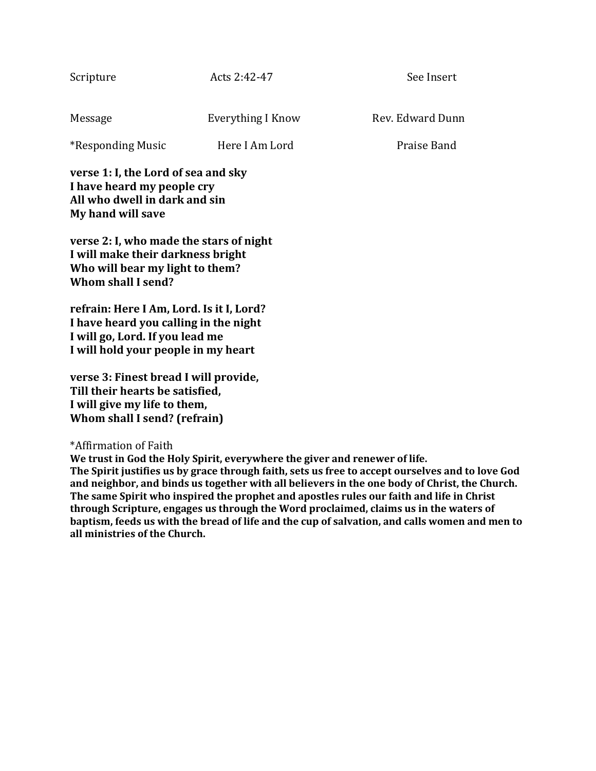| verse 1: I, the Lord of sea and sky<br>I have heard my people cry |                   |                  |
|-------------------------------------------------------------------|-------------------|------------------|
| *Responding Music                                                 | Here I Am Lord    | Praise Band      |
| Message                                                           | Everything I Know | Rev. Edward Dunn |
| Scripture                                                         | Acts 2:42-47      | See Insert       |

**verse 2: I, who made the stars of night I will make their darkness bright Who will bear my light to them? Whom shall I send?**

**All who dwell in dark and sin**

**My hand will save**

**refrain: Here I Am, Lord. Is it I, Lord? I have heard you calling in the night I will go, Lord. If you lead me I will hold your people in my heart**

**verse 3: Finest bread I will provide, Till their hearts be satisfied, I will give my life to them, Whom shall I send? (refrain)**

## \*Affirmation of Faith

**We trust in God the Holy Spirit, everywhere the giver and renewer of life. The Spirit justifies us by grace through faith, sets us free to accept ourselves and to love God and neighbor, and binds us together with all believers in the one body of Christ, the Church. The same Spirit who inspired the prophet and apostles rules our faith and life in Christ through Scripture, engages us through the Word proclaimed, claims us in the waters of baptism, feeds us with the bread of life and the cup of salvation, and calls women and men to all ministries of the Church.**